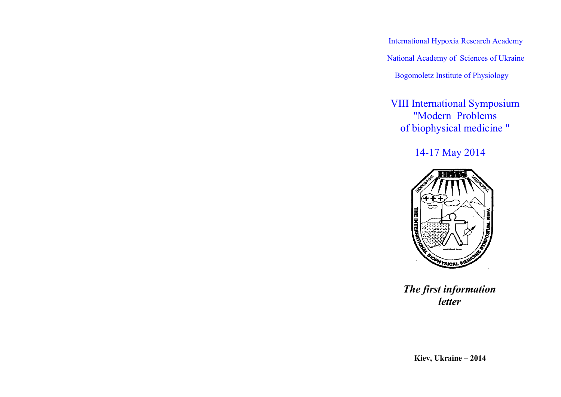International Hypoxia Research Academy National Academy of Sciences of Ukraine Bogomoletz Institute of Physiology

VIIІ International Symposium "Modern Problems of biophysical medicine "

14-17 May 2014



*The first information letter*

**Kiev, Ukraine – 2014**